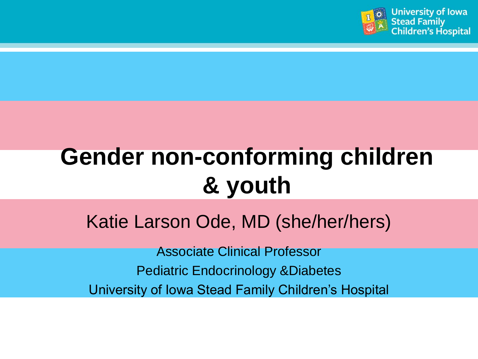

# **[Gender non-conforming children](https://www.google.com/url?sa=i&rct=j&q=&esrc=s&source=images&cd=&cad=rja&uact=8&ved=2ahUKEwjClZ2r3Y_aAhVQUt8KHTd4DasQjRx6BAgAEAU&url=https://en.wikipedia.org/wiki/Transgender_flags&psig=AOvVaw311vnw5QQoBMquXf11i7MH&ust=1522350917146090)  & youth**

Katie Larson Ode, MD (she/her/hers)

Associate Clinical Professor Pediatric Endocrinology &Diabetes University of Iowa Stead Family Children's Hospital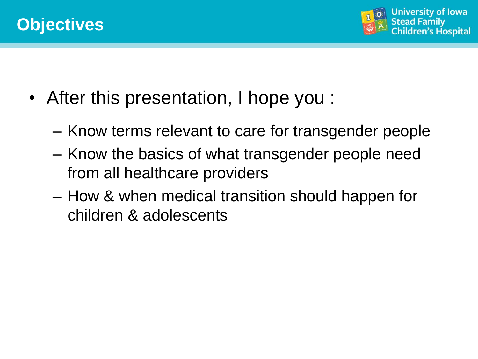

- After this presentation, I hope you :
	- Know terms relevant to care for transgender people
	- Know the basics of what transgender people need from all healthcare providers
	- How & when medical transition should happen for children & adolescents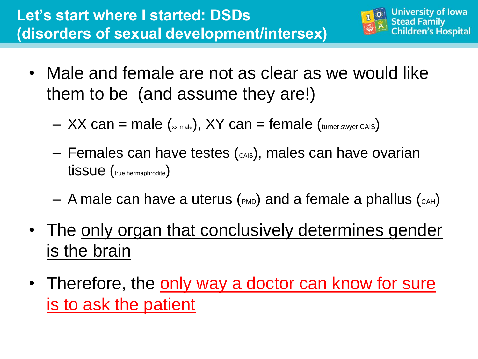

- Male and female are not as clear as we would like them to be (and assume they are!)
	- $-$  XX can = male ( $_{xx \text{ male}}$ ), XY can = female ( $_{\text{turner,swyer,CAIS}}$ )
	- $-$  Females can have testes ( $_{\text{cals}}$ ), males can have ovarian tissue (true hermaphrodite)
	- $-$  A male can have a uterus ( $_{PMD}$ ) and a female a phallus ( $_{CAH}$ )
- The only organ that conclusively determines gender is the brain
- Therefore, the only way a doctor can know for sure is to ask the patient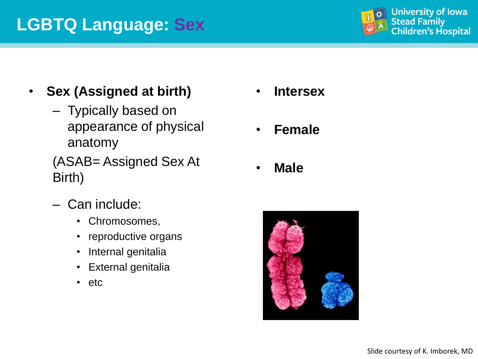## **LGBTQ Language: Sex**



- **Sex (Assigned at birth)**
	- Typically based on appearance of physical anatomy
	- (ASAB= Assigned Sex At Birth)
	- Can include:
		- Chromosomes,
		- reproductive organs
		- Internal genitalia
		- External genitalia
		- etc
- **Intersex**
- **Female**
- **Male**

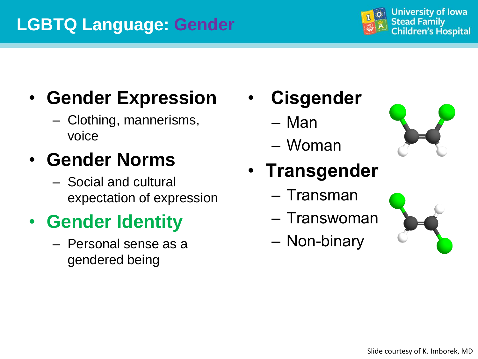## **LGBTQ Language: Gender**



# • **Gender Expression**

– Clothing, mannerisms, voice

# • **Gender Norms**

– Social and cultural expectation of expression

# • **Gender Identity**

– Personal sense as a gendered being

- **Cisgender**
	- Man
	- Woman



- **Transgender**
	- Transman
	- Transwoman
	- Non-binary

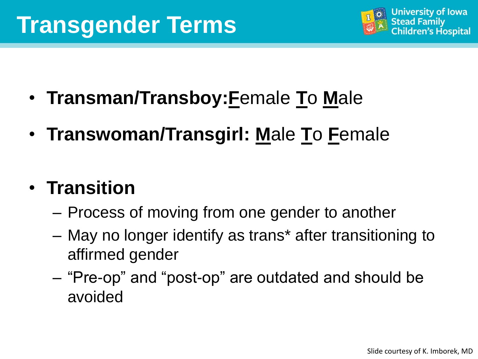# **Transgender Terms**



- **Transman/Transboy:F**emale **T**o **M**ale
- **Transwoman/Transgirl: M**ale **T**o **F**emale

## • **Transition**

- Process of moving from one gender to another
- May no longer identify as trans\* after transitioning to affirmed gender
- "Pre-op" and "post-op" are outdated and should be avoided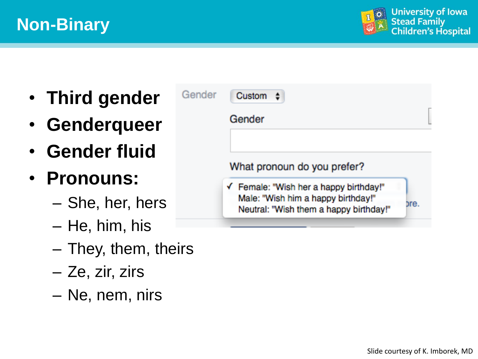

- **Third gender**
- **Genderqueer**
- **Gender fluid**
- **Pronouns:**
	- She, her, hers
	- He, him, his
	- They, them, theirs
	- Ze, zir, zirs
	- Ne, nem, nirs

| Gender | Custom                                                                                                                 |      |
|--------|------------------------------------------------------------------------------------------------------------------------|------|
|        | Gender                                                                                                                 |      |
|        | What pronoun do you prefer?                                                                                            |      |
|        | ← Female: "Wish her a happy birthday!"<br>Male: "Wish him a happy birthday!"<br>Neutral: "Wish them a happy birthday!" | nre. |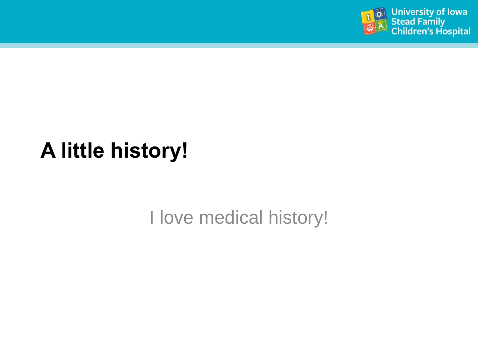

# **A little history!**

I love medical history!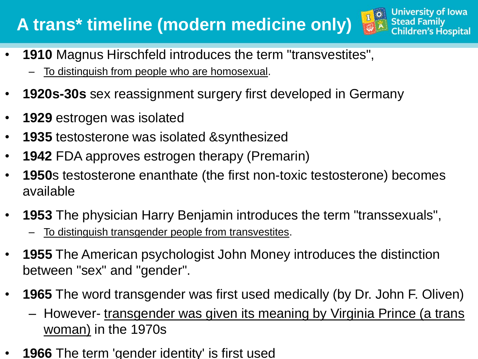## **A trans\* timeline (modern medicine only)**

- **1910** Magnus Hirschfeld introduces the term "transvestites",
	- To distinguish from people who are homosexual.
- **1920s-30s** sex reassignment surgery first developed in Germany
- **1929** estrogen was isolated
- **1935** testosterone was isolated &synthesized
- **1942** FDA approves estrogen therapy (Premarin)
- **1950**s testosterone enanthate (the first non-toxic testosterone) becomes available

 $L<sup>o</sup>$ 

**University of Iowa** 

Children's Hospital

**Stead Family** 

- **1953** The physician Harry Benjamin introduces the term "transsexuals", To distinguish transgender people from transvestites.
- **1955** The American psychologist John Money introduces the distinction between "sex" and "gender".
- **1965** The word transgender was first used medically (by Dr. John F. Oliven)
	- However- transgender was given its meaning by Virginia Prince (a trans woman) in the 1970s
- **1966** The term 'gender identity' is first used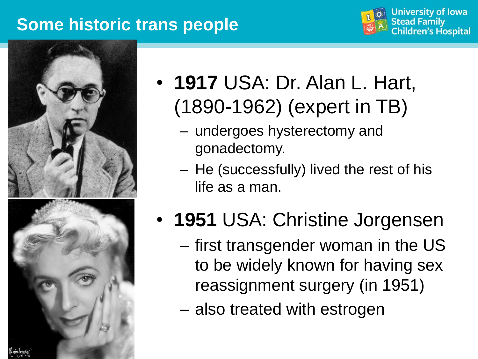### **Some historic trans people**







- **1917** USA: Dr. Alan L. Hart, (1890-1962) (expert in TB)
	- undergoes hysterectomy and gonadectomy.
	- He (successfully) lived the rest of his life as a man.
- **1951** USA: Christine Jorgensen
	- first transgender woman in the US to be widely known for having sex reassignment surgery (in 1951)
	- also treated with estrogen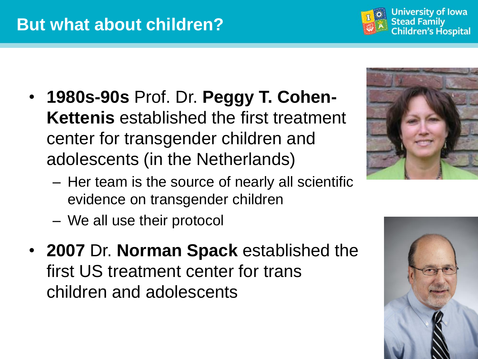- **1980s-90s** Prof. Dr. **Peggy T. Cohen-Kettenis** established the first treatment center for transgender children and adolescents (in the Netherlands)
	- Her team is the source of nearly all scientific evidence on transgender children
	- We all use their protocol
- **2007** Dr. **Norman Spack** established the first US treatment center for trans children and adolescents





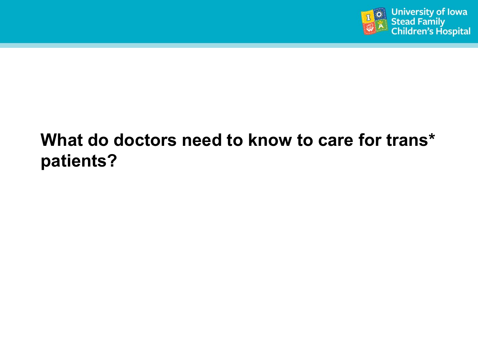

## **What do doctors need to know to care for trans\* patients?**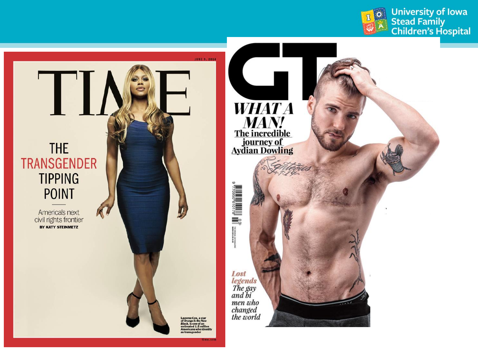

University of Iowa<br>Stead Family<br>Children's Hospital

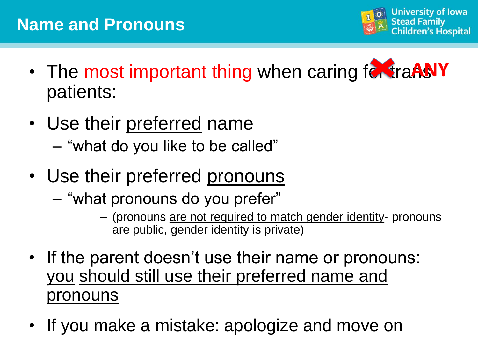

- The most important thing when caring for traANY patients:
- Use their preferred name
	- "what do you like to be called"
- Use their preferred pronouns
	- "what pronouns do you prefer"
		- (pronouns are not required to match gender identity- pronouns are public, gender identity is private)
- If the parent doesn't use their name or pronouns: you should still use their preferred name and pronouns
- If you make a mistake: apologize and move on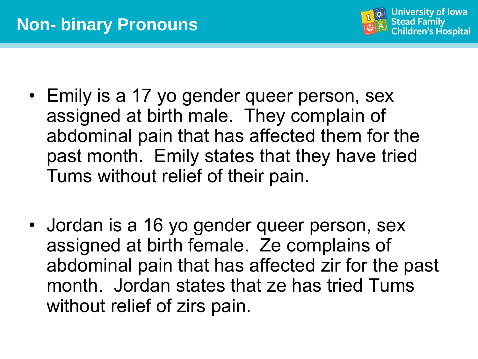

- Emily is a 17 yo gender queer person, sex assigned at birth male. They complain of abdominal pain that has affected them for the past month. Emily states that they have tried Tums without relief of their pain.
- Jordan is a 16 yo gender queer person, sex assigned at birth female. Ze complains of abdominal pain that has affected zir for the past month. Jordan states that ze has tried Tums without relief of zirs pain.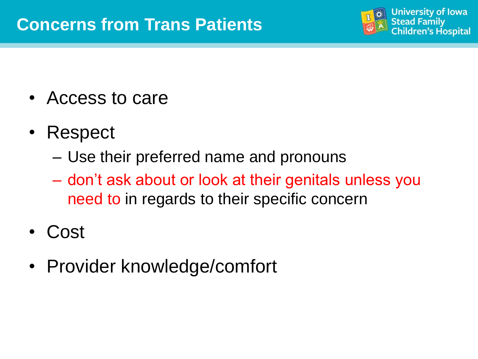

- Access to care
- Respect
	- Use their preferred name and pronouns
	- don't ask about or look at their genitals unless you need to in regards to their specific concern
- Cost
- Provider knowledge/comfort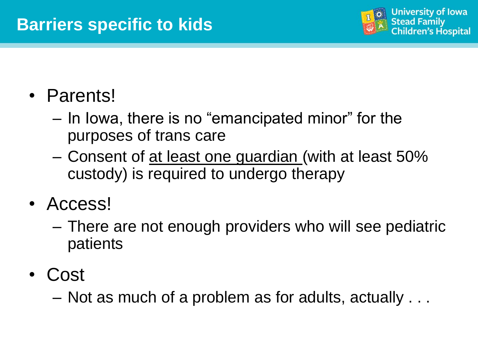

## • Parents!

- In Iowa, there is no "emancipated minor" for the purposes of trans care
- Consent of at least one guardian (with at least 50% custody) is required to undergo therapy
- Access!
	- There are not enough providers who will see pediatric patients
- Cost

– Not as much of a problem as for adults, actually . . .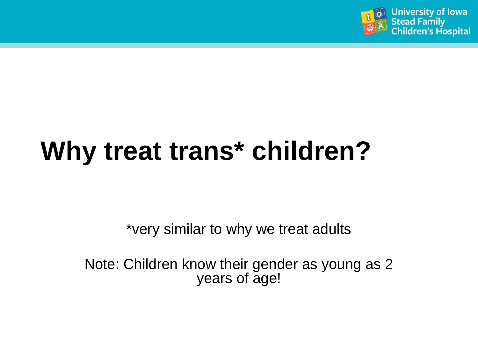

# **Why treat trans\* children?**

\*very similar to why we treat adults

Note: Children know their gender as young as 2 years of age!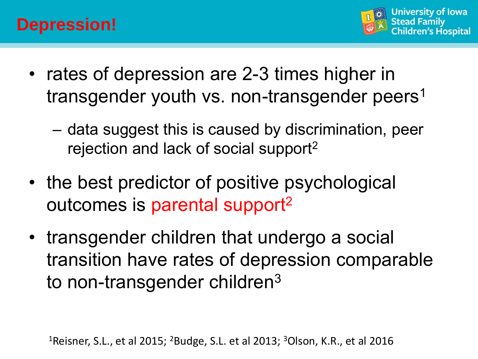

- rates of depression are 2-3 times higher in transgender youth vs. non-transgender peers<sup>1</sup>
	- data suggest this is caused by discrimination, peer rejection and lack of social support<sup>2</sup>
- the best predictor of positive psychological outcomes is parental support<sup>2</sup>
- transgender children that undergo a social transition have rates of depression comparable to non-transgender children<sup>3</sup>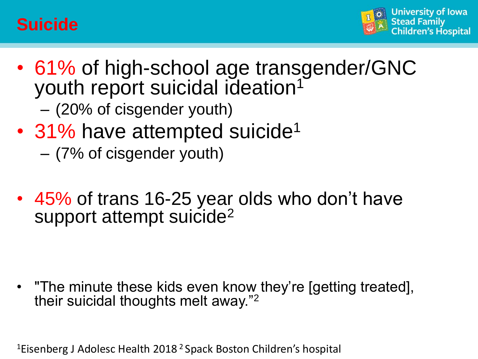### **Suicide**



- 61% of high-school age transgender/GNC youth report suicidal ideation<sup>1</sup> – (20% of cisgender youth)
- 31% have attempted suicide<sup>1</sup> – (7% of cisgender youth)
- 45% of trans 16-25 year olds who don't have support attempt suicide<sup>2</sup>

• "The minute these kids even know they're [getting treated], their suicidal thoughts melt away."<sup>2</sup>

<sup>1</sup>Eisenberg J Adolesc Health 2018<sup>2</sup> Spack Boston Children's hospital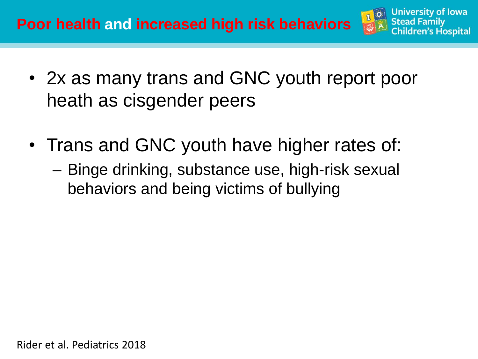

- 2x as many trans and GNC youth report poor heath as cisgender peers
- Trans and GNC youth have higher rates of:
	- Binge drinking, substance use, high-risk sexual behaviors and being victims of bullying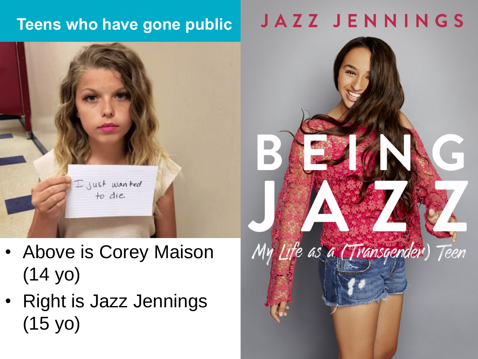### **Teens who have gone public**



- Above is Corey Maison (14 yo)
- Right is Jazz Jennings (15 yo)

# **JAZZ JENNINGS**

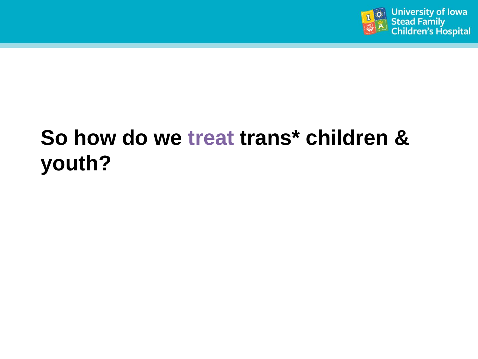

# **So how do we treat trans\* children & youth?**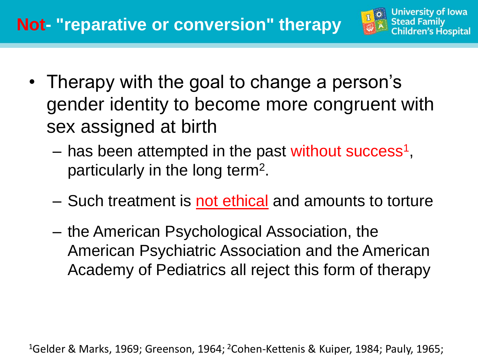

- Therapy with the goal to change a person's gender identity to become more congruent with sex assigned at birth
	- has been attempted in the past without success<sup>1</sup>, particularly in the long term<sup>2</sup>.
	- Such treatment is not ethical and amounts to torture
	- the American Psychological Association, the American Psychiatric Association and the American Academy of Pediatrics all reject this form of therapy

<sup>1</sup>Gelder & Marks, 1969; Greenson, 1964; <sup>2</sup>Cohen-Kettenis & Kuiper, 1984; Pauly, 1965;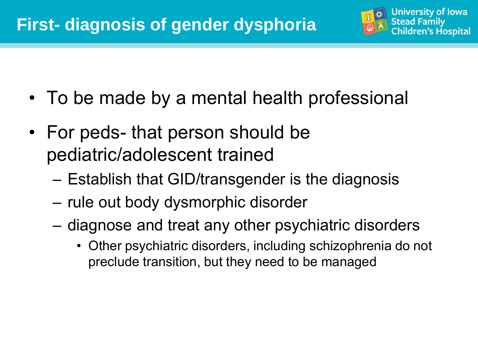

- To be made by a mental health professional
- For peds- that person should be pediatric/adolescent trained
	- Establish that GID/transgender is the diagnosis
	- rule out body dysmorphic disorder
	- diagnose and treat any other psychiatric disorders
		- Other psychiatric disorders, including schizophrenia do not preclude transition, but they need to be managed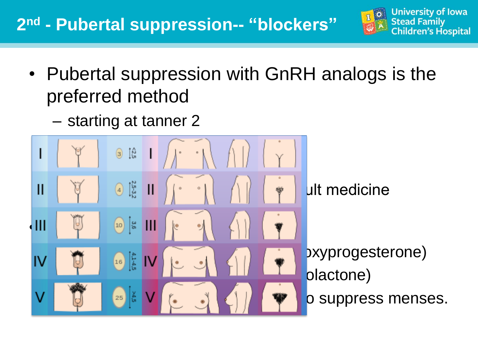### **2 nd - Pubertal suppression-- "blockers"**



- Pubertal suppression with GnRH analogs is the preferred method
	- starting at tanner 2

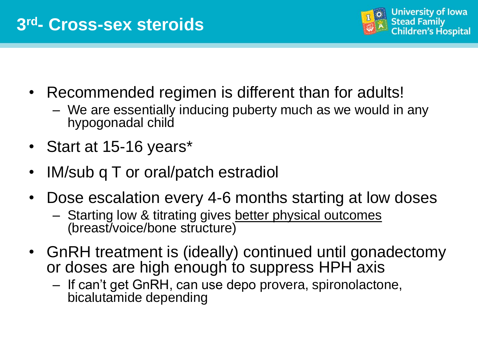

- Recommended regimen is different than for adults!
	- We are essentially inducing puberty much as we would in any hypogonadal child
- Start at 15-16 years\*
- IM/sub q T or oral/patch estradiol
- Dose escalation every 4-6 months starting at low doses
	- Starting low & titrating gives better physical outcomes (breast/voice/bone structure)
- GnRH treatment is (ideally) continued until gonadectomy or doses are high enough to suppress HPH axis
	- If can't get GnRH, can use depo provera, spironolactone, bicalutamide depending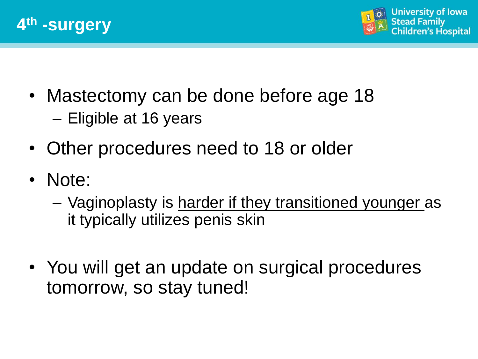



- Mastectomy can be done before age 18 – Eligible at 16 years
- Other procedures need to 18 or older
- Note:
	- Vaginoplasty is harder if they transitioned younger as it typically utilizes penis skin
- You will get an update on surgical procedures tomorrow, so stay tuned!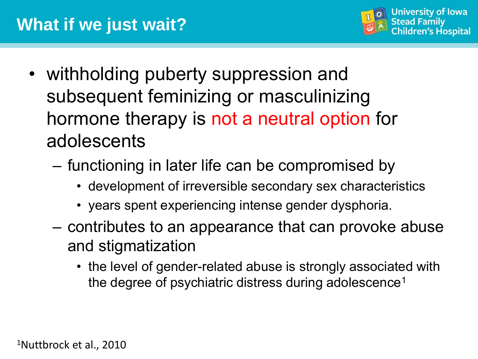

- withholding puberty suppression and subsequent feminizing or masculinizing hormone therapy is not a neutral option for adolescents
	- functioning in later life can be compromised by
		- development of irreversible secondary sex characteristics
		- years spent experiencing intense gender dysphoria.
	- contributes to an appearance that can provoke abuse and stigmatization
		- the level of gender-related abuse is strongly associated with the degree of psychiatric distress during adolescence<sup>1</sup>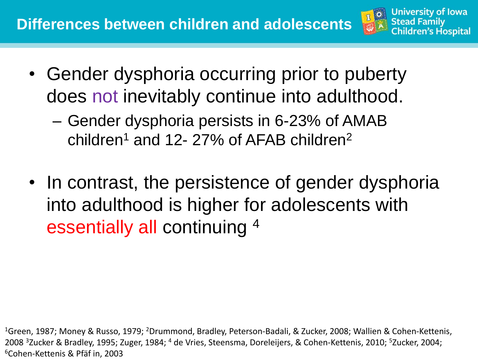

- Gender dysphoria occurring prior to puberty does not inevitably continue into adulthood.
	- Gender dysphoria persists in 6-23% of AMAB children<sup>1</sup> and 12-27% of AFAB children<sup>2</sup>
- In contrast, the persistence of gender dysphoria into adulthood is higher for adolescents with essentially all continuing <sup>4</sup>

<sup>1</sup>Green, 1987; Money & Russo, 1979; <sup>2</sup>Drummond, Bradley, Peterson-Badali, & Zucker, 2008; Wallien & Cohen-Kettenis, 2008 <sup>3</sup>Zucker & Bradley, 1995; Zuger, 1984; <sup>4</sup> de Vries, Steensma, Doreleijers, & Cohen-Kettenis, 2010; <sup>5</sup>Zucker, 2004; <sup>6</sup>Cohen-Kettenis & Pfäf in, 2003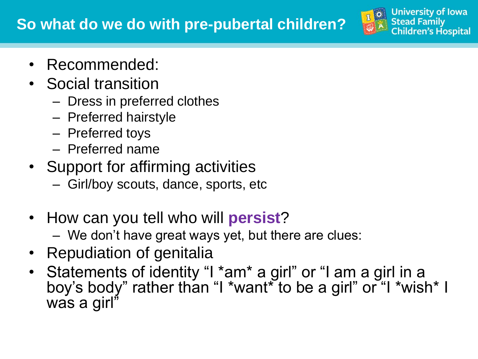

- Recommended:
- Social transition
	- Dress in preferred clothes
	- Preferred hairstyle
	- Preferred toys
	- Preferred name
- Support for affirming activities
	- Girl/boy scouts, dance, sports, etc
- How can you tell who will **persist**?
	- We don't have great ways yet, but there are clues:
- Repudiation of genitalia
- Statements of identity "I \*am\* a girl" or "I am a girl in a boy's body" rather than "I \*want\* to be a girl" or "I \*wish\* I was a girl"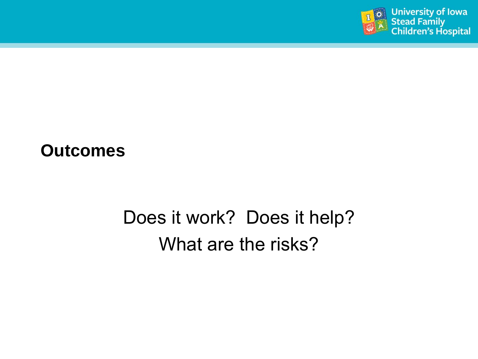

#### **Outcomes**

# Does it work? Does it help? What are the risks?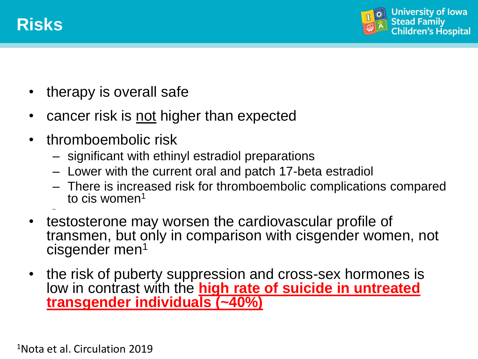

–



- therapy is overall safe
- cancer risk is not higher than expected
- thromboembolic risk
	- significant with ethinyl estradiol preparations
	- Lower with the current oral and patch 17-beta estradiol
	- There is increased risk for thromboembolic complications compared to cis women<sup>1</sup>
- testosterone may worsen the cardiovascular profile of transmen, but only in comparison with cisgender women, not cisgender men<sup>1</sup>
- the risk of puberty suppression and cross-sex hormones is low in contrast with the **high rate of suicide in untreated transgender individuals (~40%)**

1Nota et al. Circulation 2019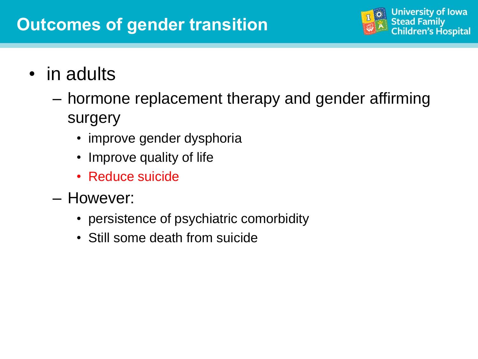### **Outcomes of gender transition**



- in adults
	- hormone replacement therapy and gender affirming surgery
		- improve gender dysphoria
		- Improve quality of life
		- Reduce suicide
	- However:
		- persistence of psychiatric comorbidity
		- Still some death from suicide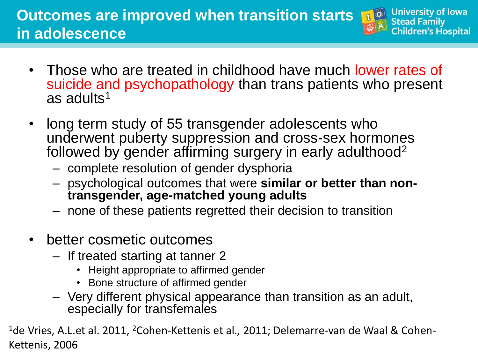### **Outcomes are improved when transition starts in adolescence**



- Those who are treated in childhood have much lower rates of suicide and psychopathology than trans patients who present as adults<sup>1</sup>
- long term study of 55 transgender adolescents who underwent puberty suppression and cross-sex hormones followed by gender affirming surgery in early adulthood<sup>2</sup>
	- complete resolution of gender dysphoria
	- psychological outcomes that were **similar or better than nontransgender, age-matched young adults**
	- none of these patients regretted their decision to transition
- better cosmetic outcomes
	- If treated starting at tanner 2
		- Height appropriate to affirmed gender
		- Bone structure of affirmed gender
	- Very different physical appearance than transition as an adult, especially for transfemales

 $^{1}$ de Vries, A.L.et al. 2011, <sup>2</sup>Cohen-Kettenis et al., 2011; Delemarre-van de Waal & Cohen-Kettenis, 2006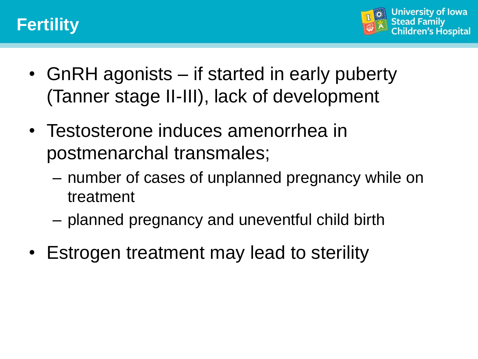



- GnRH agonists if started in early puberty (Tanner stage II-III), lack of development
- Testosterone induces amenorrhea in postmenarchal transmales;
	- number of cases of unplanned pregnancy while on treatment
	- planned pregnancy and uneventful child birth
- Estrogen treatment may lead to sterility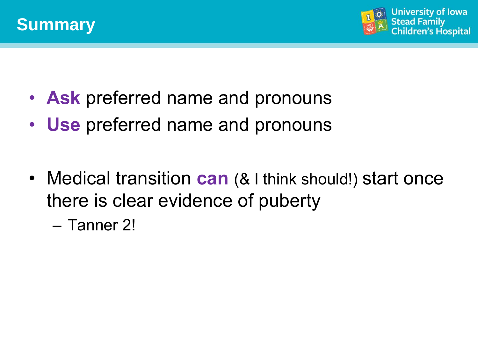



- **Ask** preferred name and pronouns
- **Use** preferred name and pronouns
- Medical transition **can** (& I think should!) start once there is clear evidence of puberty
	- Tanner 2!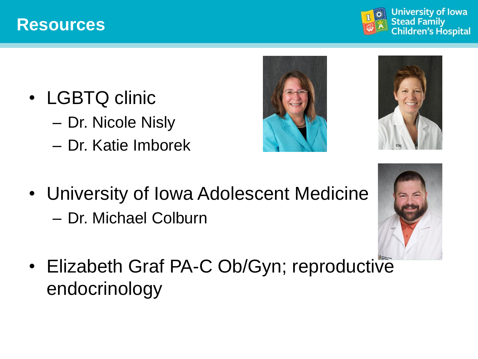#### **Resources**



- LGBTQ clinic
	- Dr. Nicole Nisly
	- Dr. Katie Imborek





• University of Iowa Adolescent Medicine – Dr. Michael Colburn



• Elizabeth Graf PA-C Ob/Gyn; reproductive endocrinology